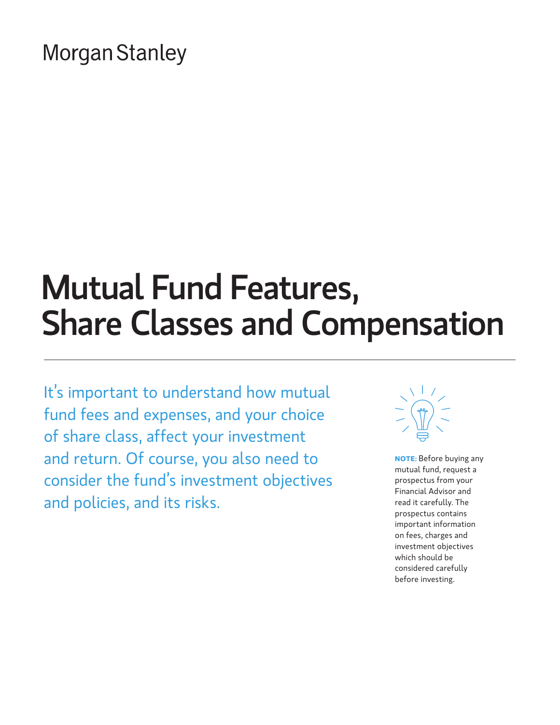# **Morgan Stanley**

# Mutual Fund Features, Share Classes and Compensation

It's important to understand how mutual fund fees and expenses, and your choice of share class, affect your investment and return. Of course, you also need to consider the fund's investment objectives and policies, and its risks.



**NOTE:** Before buying any mutual fund, request a prospectus from your Financial Advisor and read it carefully. The prospectus contains important information on fees, charges and investment objectives which should be considered carefully before investing.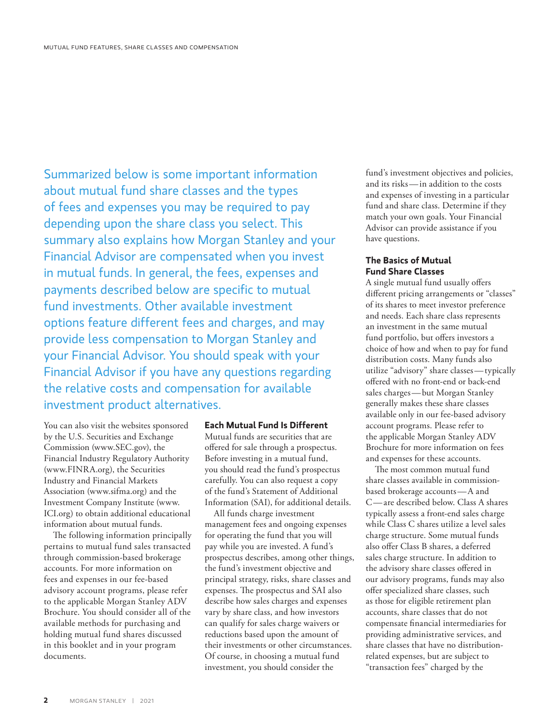Summarized below is some important information about mutual fund share classes and the types of fees and expenses you may be required to pay depending upon the share class you select. This summary also explains how Morgan Stanley and your Financial Advisor are compensated when you invest in mutual funds. In general, the fees, expenses and payments described below are specific to mutual fund investments. Other available investment options feature different fees and charges, and may provide less compensation to Morgan Stanley and your Financial Advisor. You should speak with your Financial Advisor if you have any questions regarding the relative costs and compensation for available investment product alternatives.

You can also visit the websites sponsored by the U.S. Securities and Exchange Commission (www.SEC.gov), the Financial Industry Regulatory Authority (www.FINRA.org), the Securities Industry and Financial Markets Association (www.sifma.org) and the Investment Company Institute [\(www.](http://www.ICI.org) [ICI.org](http://www.ICI.org)) to obtain additional educational information about mutual funds.

The following information principally pertains to mutual fund sales transacted through commission-based brokerage accounts. For more information on fees and expenses in our fee-based advisory account programs, please refer to the applicable Morgan Stanley ADV Brochure. You should consider all of the available methods for purchasing and holding mutual fund shares discussed in this booklet and in your program documents.

#### **Each Mutual Fund Is Different**

Mutual funds are securities that are offered for sale through a prospectus. Before investing in a mutual fund, you should read the fund's prospectus carefully. You can also request a copy of the fund's Statement of Additional Information (SAI), for additional details.

All funds charge investment management fees and ongoing expenses for operating the fund that you will pay while you are invested. A fund's prospectus describes, among other things, the fund's investment objective and principal strategy, risks, share classes and expenses. The prospectus and SAI also describe how sales charges and expenses vary by share class, and how investors can qualify for sales charge waivers or reductions based upon the amount of their investments or other circumstances. Of course, in choosing a mutual fund investment, you should consider the

fund's investment objectives and policies, and its risks—in addition to the costs and expenses of investing in a particular fund and share class. Determine if they match your own goals. Your Financial Advisor can provide assistance if you have questions.

# **The Basics of Mutual Fund Share Classes**

A single mutual fund usually offers different pricing arrangements or "classes" of its shares to meet investor preference and needs. Each share class represents an investment in the same mutual fund portfolio, but offers investors a choice of how and when to pay for fund distribution costs. Many funds also utilize "advisory" share classes—typically offered with no front-end or back-end sales charges—but Morgan Stanley generally makes these share classes available only in our fee-based advisory account programs. Please refer to the applicable Morgan Stanley ADV Brochure for more information on fees and expenses for these accounts.

The most common mutual fund share classes available in commissionbased brokerage accounts—A and C—are described below. Class A shares typically assess a front-end sales charge while Class C shares utilize a level sales charge structure. Some mutual funds also offer Class B shares, a deferred sales charge structure. In addition to the advisory share classes offered in our advisory programs, funds may also offer specialized share classes, such as those for eligible retirement plan accounts, share classes that do not compensate financial intermediaries for providing administrative services, and share classes that have no distributionrelated expenses, but are subject to "transaction fees" charged by the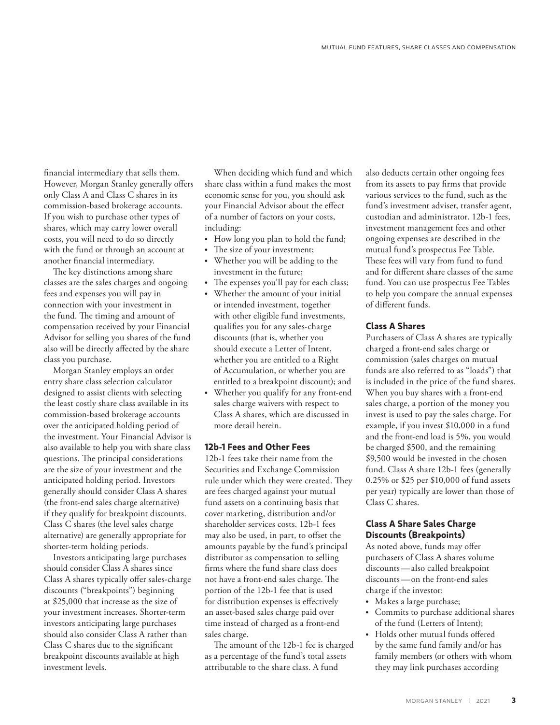financial intermediary that sells them. However, Morgan Stanley generally offers only Class A and Class C shares in its commission-based brokerage accounts. If you wish to purchase other types of shares, which may carry lower overall costs, you will need to do so directly with the fund or through an account at another financial intermediary.

The key distinctions among share classes are the sales charges and ongoing fees and expenses you will pay in connection with your investment in the fund. The timing and amount of compensation received by your Financial Advisor for selling you shares of the fund also will be directly affected by the share class you purchase.

Morgan Stanley employs an order entry share class selection calculator designed to assist clients with selecting the least costly share class available in its commission-based brokerage accounts over the anticipated holding period of the investment. Your Financial Advisor is also available to help you with share class questions. The principal considerations are the size of your investment and the anticipated holding period. Investors generally should consider Class A shares (the front-end sales charge alternative) if they qualify for breakpoint discounts. Class C shares (the level sales charge alternative) are generally appropriate for shorter-term holding periods.

Investors anticipating large purchases should consider Class A shares since Class A shares typically offer sales-charge discounts ("breakpoints") beginning at \$25,000 that increase as the size of your investment increases. Shorter-term investors anticipating large purchases should also consider Class A rather than Class C shares due to the significant breakpoint discounts available at high investment levels.

When deciding which fund and which share class within a fund makes the most economic sense for you, you should ask your Financial Advisor about the effect of a number of factors on your costs, including:

- How long you plan to hold the fund;
- The size of your investment;
- Whether you will be adding to the investment in the future;
- The expenses you'll pay for each class;
- Whether the amount of your initial or intended investment, together with other eligible fund investments, qualifies you for any sales-charge discounts (that is, whether you should execute a Letter of Intent, whether you are entitled to a Right of Accumulation, or whether you are entitled to a breakpoint discount); and
- Whether you qualify for any front-end sales charge waivers with respect to Class A shares, which are discussed in more detail herein.

#### **12b-1 Fees and Other Fees**

12b-1 fees take their name from the Securities and Exchange Commission rule under which they were created. They are fees charged against your mutual fund assets on a continuing basis that cover marketing, distribution and/or shareholder services costs. 12b-1 fees may also be used, in part, to offset the amounts payable by the fund's principal distributor as compensation to selling firms where the fund share class does not have a front-end sales charge. The portion of the 12b-1 fee that is used for distribution expenses is effectively an asset-based sales charge paid over time instead of charged as a front-end sales charge.

The amount of the 12b-1 fee is charged as a percentage of the fund's total assets attributable to the share class. A fund

also deducts certain other ongoing fees from its assets to pay firms that provide various services to the fund, such as the fund's investment adviser, transfer agent, custodian and administrator. 12b-1 fees, investment management fees and other ongoing expenses are described in the mutual fund's prospectus Fee Table. These fees will vary from fund to fund and for different share classes of the same fund. You can use prospectus Fee Tables to help you compare the annual expenses of different funds.

# **Class A Shares**

Purchasers of Class A shares are typically charged a front-end sales charge or commission (sales charges on mutual funds are also referred to as "loads") that is included in the price of the fund shares. When you buy shares with a front-end sales charge, a portion of the money you invest is used to pay the sales charge. For example, if you invest \$10,000 in a fund and the front-end load is 5%, you would be charged \$500, and the remaining \$9,500 would be invested in the chosen fund. Class A share 12b-1 fees (generally 0.25% or \$25 per \$10,000 of fund assets per year) typically are lower than those of Class C shares.

#### **Class A Share Sales Charge Discounts (Breakpoints)**

As noted above, funds may offer purchasers of Class A shares volume discounts—also called breakpoint discounts—on the front-end sales charge if the investor:

- Makes a large purchase;
- Commits to purchase additional shares of the fund (Letters of Intent);
- Holds other mutual funds offered by the same fund family and/or has family members (or others with whom they may link purchases according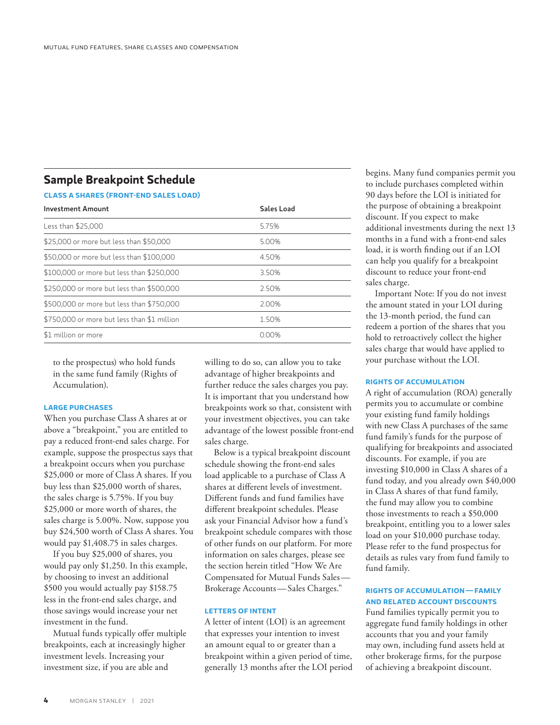# **Sample Breakpoint Schedule**

# **CLASS A SHARES (FRONT-END SALES LOAD)**

| <b>Investment Amount</b>                    | <b>Sales Load</b> |
|---------------------------------------------|-------------------|
| Less than \$25,000                          | 5.75%             |
| \$25,000 or more but less than \$50,000     | 5.00%             |
| \$50,000 or more but less than \$100,000    | 4.50%             |
| \$100,000 or more but less than \$250,000   | 3.50%             |
| \$250,000 or more but less than \$500,000   | 2.50%             |
| \$500,000 or more but less than \$750,000   | 2.00%             |
| \$750,000 or more but less than \$1 million | 1.50%             |
| \$1 million or more                         | 0.00%             |

to the prospectus) who hold funds in the same fund family (Rights of Accumulation).

#### **LARGE PURCHASES**

When you purchase Class A shares at or above a "breakpoint," you are entitled to pay a reduced front-end sales charge. For example, suppose the prospectus says that a breakpoint occurs when you purchase \$25,000 or more of Class A shares. If you buy less than \$25,000 worth of shares, the sales charge is 5.75%. If you buy \$25,000 or more worth of shares, the sales charge is 5.00%. Now, suppose you buy \$24,500 worth of Class A shares. You would pay \$1,408.75 in sales charges.

If you buy \$25,000 of shares, you would pay only \$1,250. In this example, by choosing to invest an additional \$500 you would actually pay \$158.75 less in the front-end sales charge, and those savings would increase your net investment in the fund.

Mutual funds typically offer multiple breakpoints, each at increasingly higher investment levels. Increasing your investment size, if you are able and

willing to do so, can allow you to take advantage of higher breakpoints and further reduce the sales charges you pay. It is important that you understand how breakpoints work so that, consistent with your investment objectives, you can take advantage of the lowest possible front-end sales charge.

Below is a typical breakpoint discount schedule showing the front-end sales load applicable to a purchase of Class A shares at different levels of investment. Different funds and fund families have different breakpoint schedules. Please ask your Financial Advisor how a fund's breakpoint schedule compares with those of other funds on our platform. For more information on sales charges, please see the section herein titled "How We Are Compensated for Mutual Funds Sales— Brokerage Accounts—Sales Charges."

#### **LETTERS OF INTENT**

A letter of intent (LOI) is an agreement that expresses your intention to invest an amount equal to or greater than a breakpoint within a given period of time, generally 13 months after the LOI period begins. Many fund companies permit you to include purchases completed within 90 days before the LOI is initiated for the purpose of obtaining a breakpoint discount. If you expect to make additional investments during the next 13 months in a fund with a front-end sales load, it is worth finding out if an LOI can help you qualify for a breakpoint discount to reduce your front-end sales charge.

Important Note: If you do not invest the amount stated in your LOI during the 13-month period, the fund can redeem a portion of the shares that you hold to retroactively collect the higher sales charge that would have applied to your purchase without the LOI.

#### **RIGHTS OF ACCUMULATION**

A right of accumulation (ROA) generally permits you to accumulate or combine your existing fund family holdings with new Class A purchases of the same fund family's funds for the purpose of qualifying for breakpoints and associated discounts. For example, if you are investing \$10,000 in Class A shares of a fund today, and you already own \$40,000 in Class A shares of that fund family, the fund may allow you to combine those investments to reach a \$50,000 breakpoint, entitling you to a lower sales load on your \$10,000 purchase today. Please refer to the fund prospectus for details as rules vary from fund family to fund family.

#### **RIGHTS OF ACCUMULATION—FAMILY AND RELATED ACCOUNT DISCOUNTS**

Fund families typically permit you to aggregate fund family holdings in other accounts that you and your family may own, including fund assets held at other brokerage firms, for the purpose of achieving a breakpoint discount.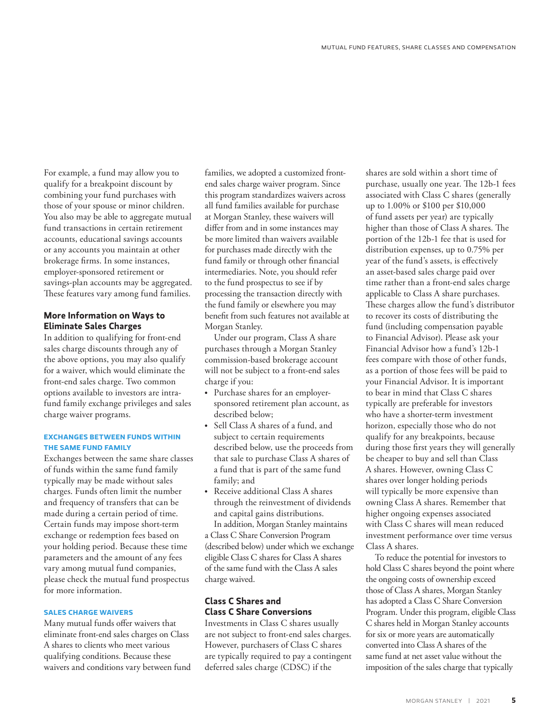For example, a fund may allow you to qualify for a breakpoint discount by combining your fund purchases with those of your spouse or minor children. You also may be able to aggregate mutual fund transactions in certain retirement accounts, educational savings accounts or any accounts you maintain at other brokerage firms. In some instances, employer-sponsored retirement or savings-plan accounts may be aggregated. These features vary among fund families.

# **More Information on Ways to Eliminate Sales Charges**

In addition to qualifying for front-end sales charge discounts through any of the above options, you may also qualify for a waiver, which would eliminate the front-end sales charge. Two common options available to investors are intrafund family exchange privileges and sales charge waiver programs.

# **EXCHANGES BETWEEN FUNDS WITHIN THE SAME FUND FAMILY**

Exchanges between the same share classes of funds within the same fund family typically may be made without sales charges. Funds often limit the number and frequency of transfers that can be made during a certain period of time. Certain funds may impose short-term exchange or redemption fees based on your holding period. Because these time parameters and the amount of any fees vary among mutual fund companies, please check the mutual fund prospectus for more information.

#### **SALES CHARGE WAIVERS**

Many mutual funds offer waivers that eliminate front-end sales charges on Class A shares to clients who meet various qualifying conditions. Because these waivers and conditions vary between fund

families, we adopted a customized frontend sales charge waiver program. Since this program standardizes waivers across all fund families available for purchase at Morgan Stanley, these waivers will differ from and in some instances may be more limited than waivers available for purchases made directly with the fund family or through other financial intermediaries. Note, you should refer to the fund prospectus to see if by processing the transaction directly with the fund family or elsewhere you may benefit from such features not available at Morgan Stanley.

Under our program, Class A share purchases through a Morgan Stanley commission-based brokerage account will not be subject to a front-end sales charge if you:

- Purchase shares for an employersponsored retirement plan account, as described below;
- Sell Class A shares of a fund, and subject to certain requirements described below, use the proceeds from that sale to purchase Class A shares of a fund that is part of the same fund family; and
- Receive additional Class A shares through the reinvestment of dividends and capital gains distributions. In addition, Morgan Stanley maintains

a Class C Share Conversion Program (described below) under which we exchange eligible Class C shares for Class A shares of the same fund with the Class A sales charge waived.

# **Class C Shares and Class C Share Conversions**

Investments in Class C shares usually are not subject to front-end sales charges. However, purchasers of Class C shares are typically required to pay a contingent deferred sales charge (CDSC) if the

shares are sold within a short time of purchase, usually one year. The 12b-1 fees associated with Class C shares (generally up to 1.00% or \$100 per \$10,000 of fund assets per year) are typically higher than those of Class A shares. The portion of the 12b-1 fee that is used for distribution expenses, up to 0.75% per year of the fund's assets, is effectively an asset-based sales charge paid over time rather than a front-end sales charge applicable to Class A share purchases. These charges allow the fund's distributor to recover its costs of distributing the fund (including compensation payable to Financial Advisor). Please ask your Financial Advisor how a fund's 12b-1 fees compare with those of other funds, as a portion of those fees will be paid to your Financial Advisor. It is important to bear in mind that Class C shares typically are preferable for investors who have a shorter-term investment horizon, especially those who do not qualify for any breakpoints, because during those first years they will generally be cheaper to buy and sell than Class A shares. However, owning Class C shares over longer holding periods will typically be more expensive than owning Class A shares. Remember that higher ongoing expenses associated with Class C shares will mean reduced investment performance over time versus Class A shares.

To reduce the potential for investors to hold Class C shares beyond the point where the ongoing costs of ownership exceed those of Class A shares, Morgan Stanley has adopted a Class C Share Conversion Program. Under this program, eligible Class C shares held in Morgan Stanley accounts for six or more years are automatically converted into Class A shares of the same fund at net asset value without the imposition of the sales charge that typically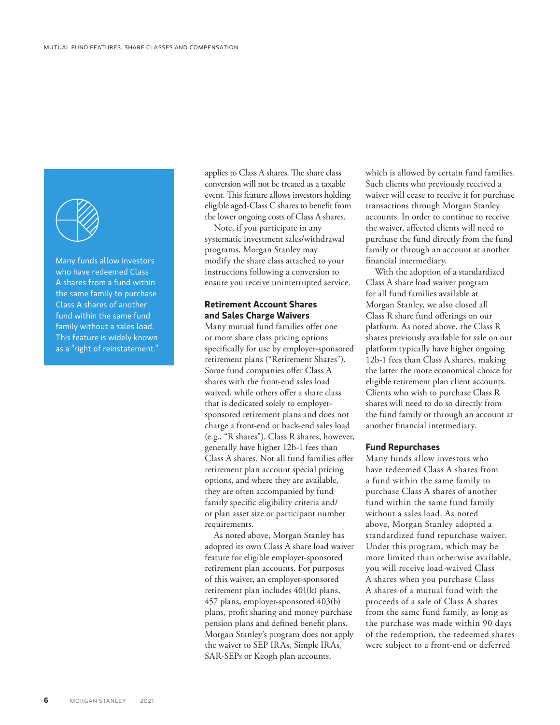

Many funds allow investors who have redeemed Class A shares from a fund within the same family to purchase Class A shares of another fund within the same fund family without a sales load. This feature is widely known as a "right of reinstatement."

applies to Class A shares. The share class conversion will not be treated as a taxable event. This feature allows investors holding eligible aged-Class C shares to benefit from the lower ongoing costs of Class A shares.

Note, if you participate in any systematic investment sales/withdrawal programs, Morgan Stanley may modify the share class attached to your instructions following a conversion to ensure you receive uninterrupted service.

# **Retirement Account Shares and Sales Charge Waivers**

Many mutual fund families offer one or more share class pricing options specifically for use by employer-sponsored retirement plans ("Retirement Shares"). Some fund companies offer Class A shares with the front-end sales load waived, while others offer a share class that is dedicated solely to employersponsored retirement plans and does not charge a front-end or back-end sales load (e.g., "R shares"). Class R shares, however, generally have higher 12b-1 fees than Class A shares. Not all fund families offer retirement plan account special pricing options, and where they are available, they are often accompanied by fund family specific eligibility criteria and/ or plan asset size or participant number requirements.

As noted above, Morgan Stanley has adopted its own Class A share load waiver feature for eligible employer-sponsored retirement plan accounts. For purposes of this waiver, an employer-sponsored retirement plan includes 401(k) plans, 457 plans, employer-sponsored 403(b) plans, profit sharing and money purchase pension plans and defined benefit plans. Morgan Stanley's program does not apply the waiver to SEP IRAs, Simple IRAs, SAR-SEPs or Keogh plan accounts,

which is allowed by certain fund families. Such clients who previously received a waiver will cease to receive it for purchase transactions through Morgan Stanley accounts. In order to continue to receive the waiver, affected clients will need to purchase the fund directly from the fund family or through an account at another financial intermediary.

With the adoption of a standardized Class A share load waiver program for all fund families available at Morgan Stanley, we also closed all Class R share fund offerings on our platform. As noted above, the Class R shares previously available for sale on our platform typically have higher ongoing 12b-1 fees than Class A shares, making the latter the more economical choice for eligible retirement plan client accounts. Clients who wish to purchase Class R shares will need to do so directly from the fund family or through an account at another financial intermediary.

#### **Fund Repurchases**

Many funds allow investors who have redeemed Class A shares from a fund within the same family to purchase Class A shares of another fund within the same fund family without a sales load. As noted above, Morgan Stanley adopted a standardized fund repurchase waiver. Under this program, which may be more limited than otherwise available, you will receive load-waived Class A shares when you purchase Class A shares of a mutual fund with the proceeds of a sale of Class A shares from the same fund family, as long as the purchase was made within 90 days of the redemption, the redeemed shares were subject to a front-end or deferred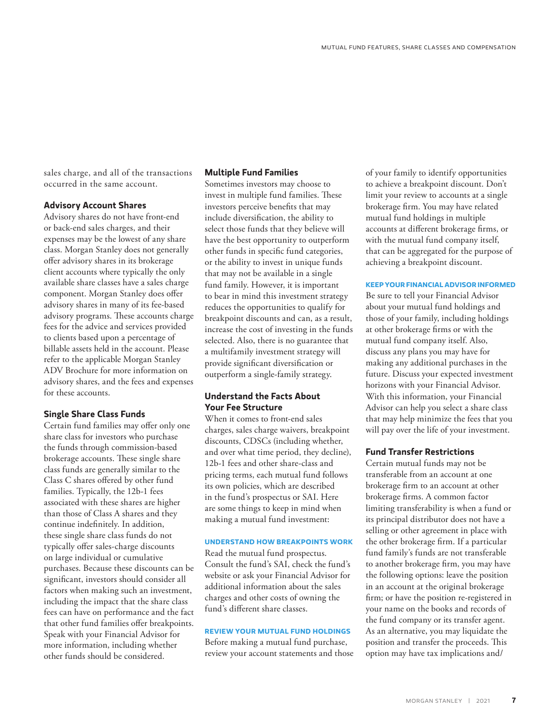sales charge, and all of the transactions occurred in the same account.

#### **Advisory Account Shares**

Advisory shares do not have front-end or back-end sales charges, and their expenses may be the lowest of any share class. Morgan Stanley does not generally offer advisory shares in its brokerage client accounts where typically the only available share classes have a sales charge component. Morgan Stanley does offer advisory shares in many of its fee-based advisory programs. These accounts charge fees for the advice and services provided to clients based upon a percentage of billable assets held in the account. Please refer to the applicable Morgan Stanley ADV Brochure for more information on advisory shares, and the fees and expenses for these accounts.

#### **Single Share Class Funds**

Certain fund families may offer only one share class for investors who purchase the funds through commission-based brokerage accounts. These single share class funds are generally similar to the Class C shares offered by other fund families. Typically, the 12b-1 fees associated with these shares are higher than those of Class A shares and they continue indefinitely. In addition, these single share class funds do not typically offer sales-charge discounts on large individual or cumulative purchases. Because these discounts can be significant, investors should consider all factors when making such an investment, including the impact that the share class fees can have on performance and the fact that other fund families offer breakpoints. Speak with your Financial Advisor for more information, including whether other funds should be considered.

# **Multiple Fund Families**

Sometimes investors may choose to invest in multiple fund families. These investors perceive benefits that may include diversification, the ability to select those funds that they believe will have the best opportunity to outperform other funds in specific fund categories, or the ability to invest in unique funds that may not be available in a single fund family. However, it is important to bear in mind this investment strategy reduces the opportunities to qualify for breakpoint discounts and can, as a result, increase the cost of investing in the funds selected. Also, there is no guarantee that a multifamily investment strategy will provide significant diversification or outperform a single-family strategy.

# **Understand the Facts About Your Fee Structure**

When it comes to front-end sales charges, sales charge waivers, breakpoint discounts, CDSCs (including whether, and over what time period, they decline), 12b-1 fees and other share-class and pricing terms, each mutual fund follows its own policies, which are described in the fund's prospectus or SAI. Here are some things to keep in mind when making a mutual fund investment:

#### **UNDERSTAND HOW BREAKPOINTS WORK**

Read the mutual fund prospectus. Consult the fund's SAI, check the fund's website or ask your Financial Advisor for additional information about the sales charges and other costs of owning the fund's different share classes.

#### **REVIEW YOUR MUTUAL FUND HOLDINGS**

Before making a mutual fund purchase, review your account statements and those of your family to identify opportunities to achieve a breakpoint discount. Don't limit your review to accounts at a single brokerage firm. You may have related mutual fund holdings in multiple accounts at different brokerage firms, or with the mutual fund company itself, that can be aggregated for the purpose of achieving a breakpoint discount.

#### **KEEP YOUR FINANCIAL ADVISOR INFORMED**

Be sure to tell your Financial Advisor about your mutual fund holdings and those of your family, including holdings at other brokerage firms or with the mutual fund company itself. Also, discuss any plans you may have for making any additional purchases in the future. Discuss your expected investment horizons with your Financial Advisor. With this information, your Financial Advisor can help you select a share class that may help minimize the fees that you will pay over the life of your investment.

#### **Fund Transfer Restrictions**

Certain mutual funds may not be transferable from an account at one brokerage firm to an account at other brokerage firms. A common factor limiting transferability is when a fund or its principal distributor does not have a selling or other agreement in place with the other brokerage firm. If a particular fund family's funds are not transferable to another brokerage firm, you may have the following options: leave the position in an account at the original brokerage firm; or have the position re-registered in your name on the books and records of the fund company or its transfer agent. As an alternative, you may liquidate the position and transfer the proceeds. This option may have tax implications and/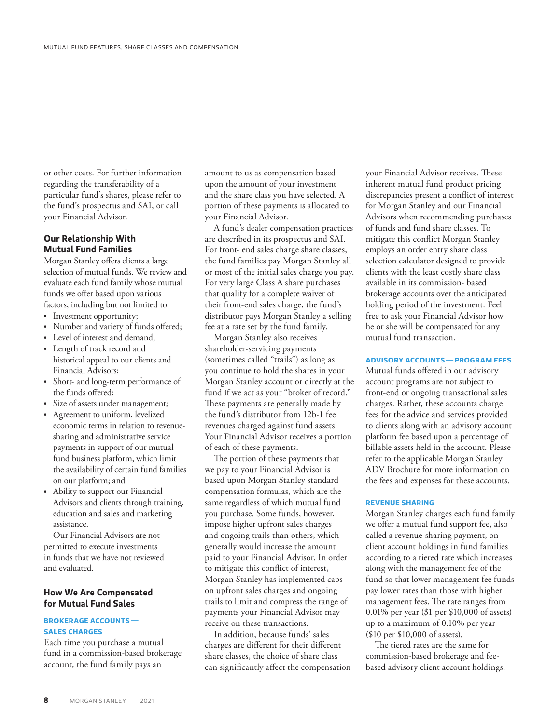or other costs. For further information regarding the transferability of a particular fund's shares, please refer to the fund's prospectus and SAI, or call your Financial Advisor.

# **Our Relationship With Mutual Fund Families**

Morgan Stanley offers clients a large selection of mutual funds. We review and evaluate each fund family whose mutual funds we offer based upon various factors, including but not limited to:

- Investment opportunity;
- Number and variety of funds offered;
- Level of interest and demand;
- Length of track record and historical appeal to our clients and Financial Advisors;
- Short- and long-term performance of the funds offered;
- Size of assets under management;
- Agreement to uniform, levelized economic terms in relation to revenuesharing and administrative service payments in support of our mutual fund business platform, which limit the availability of certain fund families on our platform; and
- Ability to support our Financial Advisors and clients through training, education and sales and marketing assistance.

Our Financial Advisors are not permitted to execute investments in funds that we have not reviewed and evaluated.

# **How We Are Compensated for Mutual Fund Sales**

#### **BROKERAGE ACCOUNTS— SALES CHARGES**

Each time you purchase a mutual fund in a commission-based brokerage account, the fund family pays an

amount to us as compensation based upon the amount of your investment and the share class you have selected. A portion of these payments is allocated to your Financial Advisor.

A fund's dealer compensation practices are described in its prospectus and SAI. For front- end sales charge share classes, the fund families pay Morgan Stanley all or most of the initial sales charge you pay. For very large Class A share purchases that qualify for a complete waiver of their front-end sales charge, the fund's distributor pays Morgan Stanley a selling fee at a rate set by the fund family.

Morgan Stanley also receives shareholder-servicing payments (sometimes called "trails") as long as you continue to hold the shares in your Morgan Stanley account or directly at the fund if we act as your "broker of record." These payments are generally made by the fund's distributor from 12b-1 fee revenues charged against fund assets. Your Financial Advisor receives a portion of each of these payments.

The portion of these payments that we pay to your Financial Advisor is based upon Morgan Stanley standard compensation formulas, which are the same regardless of which mutual fund you purchase. Some funds, however, impose higher upfront sales charges and ongoing trails than others, which generally would increase the amount paid to your Financial Advisor. In order to mitigate this conflict of interest, Morgan Stanley has implemented caps on upfront sales charges and ongoing trails to limit and compress the range of payments your Financial Advisor may receive on these transactions.

In addition, because funds' sales charges are different for their different share classes, the choice of share class can significantly affect the compensation your Financial Advisor receives. These inherent mutual fund product pricing discrepancies present a conflict of interest for Morgan Stanley and our Financial Advisors when recommending purchases of funds and fund share classes. To mitigate this conflict Morgan Stanley employs an order entry share class selection calculator designed to provide clients with the least costly share class available in its commission- based brokerage accounts over the anticipated holding period of the investment. Feel free to ask your Financial Advisor how he or she will be compensated for any mutual fund transaction.

# **ADVISORY ACCOUNTS—PROGRAM FEES**

Mutual funds offered in our advisory account programs are not subject to front-end or ongoing transactional sales charges. Rather, these accounts charge fees for the advice and services provided to clients along with an advisory account platform fee based upon a percentage of billable assets held in the account. Please refer to the applicable Morgan Stanley ADV Brochure for more information on the fees and expenses for these accounts.

#### **REVENUE SHARING**

Morgan Stanley charges each fund family we offer a mutual fund support fee, also called a revenue-sharing payment, on client account holdings in fund families according to a tiered rate which increases along with the management fee of the fund so that lower management fee funds pay lower rates than those with higher management fees. The rate ranges from 0.01% per year (\$1 per \$10,000 of assets) up to a maximum of 0.10% per year (\$10 per \$10,000 of assets).

The tiered rates are the same for commission-based brokerage and feebased advisory client account holdings.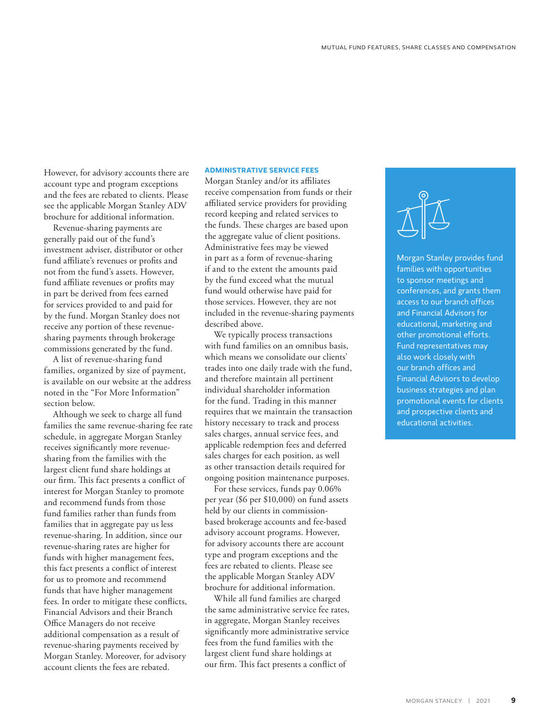However, for advisory accounts there are account type and program exceptions and the fees are rebated to clients. Please see the applicable Morgan Stanley ADV brochure for additional information.

Revenue-sharing payments are generally paid out of the fund's investment adviser, distributor or other fund affiliate's revenues or profits and not from the fund's assets. However, fund affiliate revenues or profits may in part be derived from fees earned for services provided to and paid for by the fund. Morgan Stanley does not receive any portion of these revenuesharing payments through brokerage commissions generated by the fund.

A list of revenue-sharing fund families, organized by size of payment, is available on our website at the address noted in the "For More Information" section below.

Although we seek to charge all fund families the same revenue-sharing fee rate schedule, in aggregate Morgan Stanley receives significantly more revenuesharing from the families with the largest client fund share holdings at our firm. This fact presents a conflict of interest for Morgan Stanley to promote and recommend funds from those fund families rather than funds from families that in aggregate pay us less revenue-sharing. In addition, since our revenue-sharing rates are higher for funds with higher management fees, this fact presents a conflict of interest for us to promote and recommend funds that have higher management fees. In order to mitigate these conflicts, Financial Advisors and their Branch Office Managers do not receive additional compensation as a result of revenue-sharing payments received by Morgan Stanley. Moreover, for advisory account clients the fees are rebated.

#### **ADMINISTRATIVE SERVICE FEES**

Morgan Stanley and/or its affiliates receive compensation from funds or their affiliated service providers for providing record keeping and related services to the funds. These charges are based upon the aggregate value of client positions. Administrative fees may be viewed in part as a form of revenue-sharing if and to the extent the amounts paid by the fund exceed what the mutual fund would otherwise have paid for those services. However, they are not included in the revenue-sharing payments described above.

We typically process transactions with fund families on an omnibus basis, which means we consolidate our clients' trades into one daily trade with the fund, and therefore maintain all pertinent individual shareholder information for the fund. Trading in this manner requires that we maintain the transaction history necessary to track and process sales charges, annual service fees, and applicable redemption fees and deferred sales charges for each position, as well as other transaction details required for ongoing position maintenance purposes.

For these services, funds pay 0.06% per year (\$6 per \$10,000) on fund assets held by our clients in commissionbased brokerage accounts and fee-based advisory account programs. However, for advisory accounts there are account type and program exceptions and the fees are rebated to clients. Please see the applicable Morgan Stanley ADV brochure for additional information.

While all fund families are charged the same administrative service fee rates, in aggregate, Morgan Stanley receives significantly more administrative service fees from the fund families with the largest client fund share holdings at our firm. This fact presents a conflict of



Morgan Stanley provides fund families with opportunities to sponsor meetings and conferences, and grants them access to our branch offices and Financial Advisors for educational, marketing and other promotional efforts. Fund representatives may also work closely with our branch offices and Financial Advisors to develop business strategies and plan promotional events for clients and prospective clients and educational activities.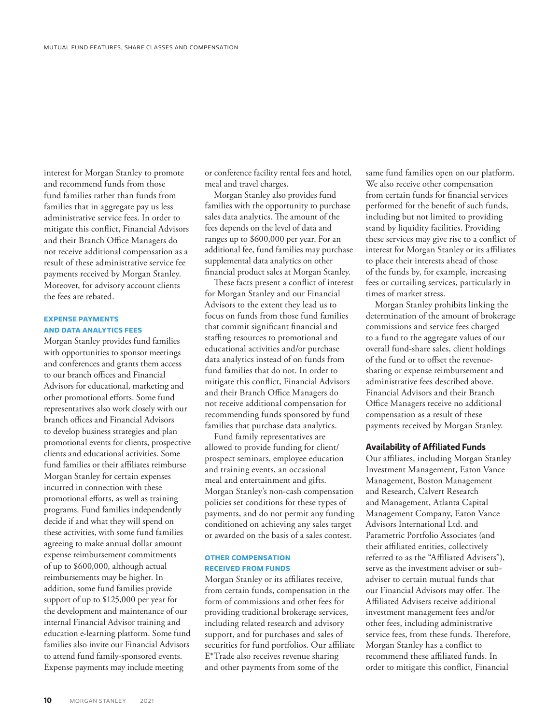interest for Morgan Stanley to promote and recommend funds from those fund families rather than funds from families that in aggregate pay us less administrative service fees. In order to mitigate this conflict, Financial Advisors and their Branch Office Managers do not receive additional compensation as a result of these administrative service fee payments received by Morgan Stanley. Moreover, for advisory account clients the fees are rebated.

# **EXPENSE PAYMENTS AND DATA ANALYTICS FEES**

Morgan Stanley provides fund families with opportunities to sponsor meetings and conferences and grants them access to our branch offices and Financial Advisors for educational, marketing and other promotional efforts. Some fund representatives also work closely with our branch offices and Financial Advisors to develop business strategies and plan promotional events for clients, prospective clients and educational activities. Some fund families or their affiliates reimburse Morgan Stanley for certain expenses incurred in connection with these promotional efforts, as well as training programs. Fund families independently decide if and what they will spend on these activities, with some fund families agreeing to make annual dollar amount expense reimbursement commitments of up to \$600,000, although actual reimbursements may be higher. In addition, some fund families provide support of up to \$125,000 per year for the development and maintenance of our internal Financial Advisor training and education e-learning platform. Some fund families also invite our Financial Advisors to attend fund family-sponsored events. Expense payments may include meeting

or conference facility rental fees and hotel, meal and travel charges.

Morgan Stanley also provides fund families with the opportunity to purchase sales data analytics. The amount of the fees depends on the level of data and ranges up to \$600,000 per year. For an additional fee, fund families may purchase supplemental data analytics on other financial product sales at Morgan Stanley.

These facts present a conflict of interest for Morgan Stanley and our Financial Advisors to the extent they lead us to focus on funds from those fund families that commit significant financial and staffing resources to promotional and educational activities and/or purchase data analytics instead of on funds from fund families that do not. In order to mitigate this conflict, Financial Advisors and their Branch Office Managers do not receive additional compensation for recommending funds sponsored by fund families that purchase data analytics.

Fund family representatives are allowed to provide funding for client/ prospect seminars, employee education and training events, an occasional meal and entertainment and gifts. Morgan Stanley's non-cash compensation policies set conditions for these types of payments, and do not permit any funding conditioned on achieving any sales target or awarded on the basis of a sales contest.

#### **OTHER COMPENSATION RECEIVED FROM FUNDS**

Morgan Stanley or its affiliates receive, from certain funds, compensation in the form of commissions and other fees for providing traditional brokerage services, including related research and advisory support, and for purchases and sales of securities for fund portfolios. Our affiliate E\*Trade also receives revenue sharing and other payments from some of the

same fund families open on our platform. We also receive other compensation from certain funds for financial services performed for the benefit of such funds, including but not limited to providing stand by liquidity facilities. Providing these services may give rise to a conflict of interest for Morgan Stanley or its affiliates to place their interests ahead of those of the funds by, for example, increasing fees or curtailing services, particularly in times of market stress.

Morgan Stanley prohibits linking the determination of the amount of brokerage commissions and service fees charged to a fund to the aggregate values of our overall fund-share sales, client holdings of the fund or to offset the revenuesharing or expense reimbursement and administrative fees described above. Financial Advisors and their Branch Office Managers receive no additional compensation as a result of these payments received by Morgan Stanley.

#### **Availability of Affiliated Funds**

Our affiliates, including Morgan Stanley Investment Management, Eaton Vance Management, Boston Management and Research, Calvert Research and Management, Atlanta Capital Management Company, Eaton Vance Advisors International Ltd. and Parametric Portfolio Associates (and their affiliated entities, collectively referred to as the "Affiliated Advisers"), serve as the investment adviser or subadviser to certain mutual funds that our Financial Advisors may offer. The Affiliated Advisers receive additional investment management fees and/or other fees, including administrative service fees, from these funds. Therefore, Morgan Stanley has a conflict to recommend these affiliated funds. In order to mitigate this conflict, Financial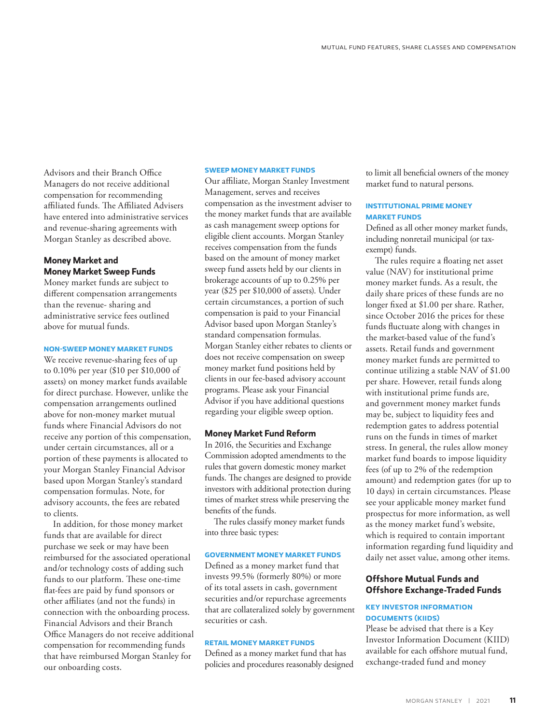Advisors and their Branch Office Managers do not receive additional compensation for recommending affiliated funds. The Affiliated Advisers have entered into administrative services and revenue-sharing agreements with Morgan Stanley as described above.

# **Money Market and Money Market Sweep Funds**

Money market funds are subject to different compensation arrangements than the revenue- sharing and administrative service fees outlined above for mutual funds.

#### **NON-SWEEP MONEY MARKET FUNDS**

We receive revenue-sharing fees of up to 0.10% per year (\$10 per \$10,000 of assets) on money market funds available for direct purchase. However, unlike the compensation arrangements outlined above for non-money market mutual funds where Financial Advisors do not receive any portion of this compensation, under certain circumstances, all or a portion of these payments is allocated to your Morgan Stanley Financial Advisor based upon Morgan Stanley's standard compensation formulas. Note, for advisory accounts, the fees are rebated to clients.

In addition, for those money market funds that are available for direct purchase we seek or may have been reimbursed for the associated operational and/or technology costs of adding such funds to our platform. These one-time flat-fees are paid by fund sponsors or other affiliates (and not the funds) in connection with the onboarding process. Financial Advisors and their Branch Office Managers do not receive additional compensation for recommending funds that have reimbursed Morgan Stanley for our onboarding costs.

#### **SWEEP MONEY MARKET FUNDS**

Our affiliate, Morgan Stanley Investment Management, serves and receives compensation as the investment adviser to the money market funds that are available as cash management sweep options for eligible client accounts. Morgan Stanley receives compensation from the funds based on the amount of money market sweep fund assets held by our clients in brokerage accounts of up to 0.25% per year (\$25 per \$10,000 of assets). Under certain circumstances, a portion of such compensation is paid to your Financial Advisor based upon Morgan Stanley's standard compensation formulas. Morgan Stanley either rebates to clients or does not receive compensation on sweep money market fund positions held by clients in our fee-based advisory account programs. Please ask your Financial Advisor if you have additional questions regarding your eligible sweep option.

#### **Money Market Fund Reform**

In 2016, the Securities and Exchange Commission adopted amendments to the rules that govern domestic money market funds. The changes are designed to provide investors with additional protection during times of market stress while preserving the benefits of the funds.

The rules classify money market funds into three basic types:

# **GOVERNMENT MONEY MARKET FUNDS**

Defined as a money market fund that invests 99.5% (formerly 80%) or more of its total assets in cash, government securities and/or repurchase agreements that are collateralized solely by government securities or cash.

# **RETAIL MONEY MARKET FUNDS**

Defined as a money market fund that has policies and procedures reasonably designed to limit all beneficial owners of the money market fund to natural persons.

# **INSTITUTIONAL PRIME MONEY MARKET FUNDS**

Defined as all other money market funds, including nonretail municipal (or taxexempt) funds.

The rules require a floating net asset value (NAV) for institutional prime money market funds. As a result, the daily share prices of these funds are no longer fixed at \$1.00 per share. Rather, since October 2016 the prices for these funds fluctuate along with changes in the market-based value of the fund's assets. Retail funds and government money market funds are permitted to continue utilizing a stable NAV of \$1.00 per share. However, retail funds along with institutional prime funds are, and government money market funds may be, subject to liquidity fees and redemption gates to address potential runs on the funds in times of market stress. In general, the rules allow money market fund boards to impose liquidity fees (of up to 2% of the redemption amount) and redemption gates (for up to 10 days) in certain circumstances. Please see your applicable money market fund prospectus for more information, as well as the money market fund's website, which is required to contain important information regarding fund liquidity and daily net asset value, among other items.

# **Offshore Mutual Funds and Offshore Exchange‑Traded Funds**

### **KEY INVESTOR INFORMATION DOCUMENTS (KIIDS)**

Please be advised that there is a Key Investor Information Document (KIID) available for each offshore mutual fund, exchange-traded fund and money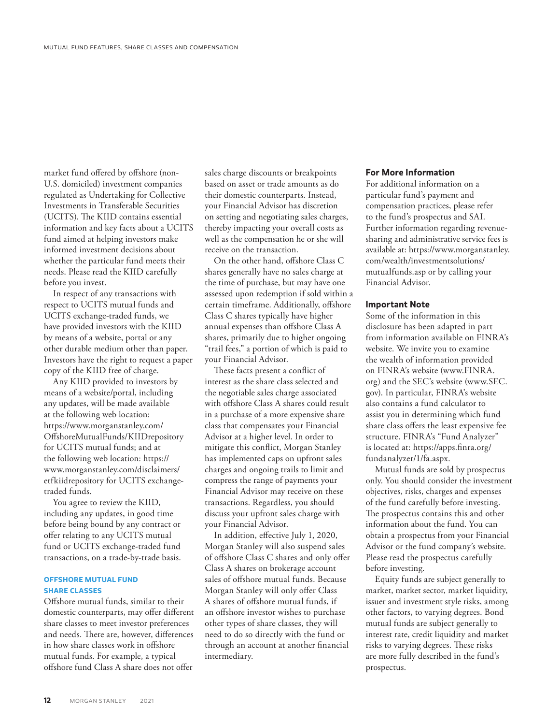market fund offered by offshore (non-U.S. domiciled) investment companies regulated as Undertaking for Collective Investments in Transferable Securities (UCITS). The KIID contains essential information and key facts about a UCITS fund aimed at helping investors make informed investment decisions about whether the particular fund meets their needs. Please read the KIID carefully before you invest.

In respect of any transactions with respect to UCITS mutual funds and UCITS exchange-traded funds, we have provided investors with the KIID by means of a website, portal or any other durable medium other than paper. Investors have the right to request a paper copy of the KIID free of charge.

Any KIID provided to investors by means of a website/portal, including any updates, will be made available at the following web location: [https://www.morganstanley.com/](https://www.morganstanley.com/OffshoreMutualFunds/KIIDrepository) [OffshoreMutualFunds/K](https://www.morganstanley.com/OffshoreMutualFunds/KIIDrepository)IIDrepository for UCITS mutual funds; and at the following web location: [https://](https://www.morganstanley.com/disclaimers/etfkiidrepository) [www.morganstanley.com/disclaimers/](https://www.morganstanley.com/disclaimers/etfkiidrepository) [etfkiidrepository](https://www.morganstanley.com/disclaimers/etfkiidrepository) for UCITS exchangetraded funds.

You agree to review the KIID, including any updates, in good time before being bound by any contract or offer relating to any UCITS mutual fund or UCITS exchange-traded fund transactions, on a trade-by-trade basis.

# **OFFSHORE MUTUAL FUND SHARE CLASSES**

Offshore mutual funds, similar to their domestic counterparts, may offer different share classes to meet investor preferences and needs. There are, however, differences in how share classes work in offshore mutual funds. For example, a typical offshore fund Class A share does not offer

sales charge discounts or breakpoints based on asset or trade amounts as do their domestic counterparts. Instead, your Financial Advisor has discretion on setting and negotiating sales charges, thereby impacting your overall costs as well as the compensation he or she will receive on the transaction.

On the other hand, offshore Class C shares generally have no sales charge at the time of purchase, but may have one assessed upon redemption if sold within a certain timeframe. Additionally, offshore Class C shares typically have higher annual expenses than offshore Class A shares, primarily due to higher ongoing "trail fees," a portion of which is paid to your Financial Advisor.

These facts present a conflict of interest as the share class selected and the negotiable sales charge associated with offshore Class A shares could result in a purchase of a more expensive share class that compensates your Financial Advisor at a higher level. In order to mitigate this conflict, Morgan Stanley has implemented caps on upfront sales charges and ongoing trails to limit and compress the range of payments your Financial Advisor may receive on these transactions. Regardless, you should discuss your upfront sales charge with your Financial Advisor.

In addition, effective July 1, 2020, Morgan Stanley will also suspend sales of offshore Class C shares and only offer Class A shares on brokerage account sales of offshore mutual funds. Because Morgan Stanley will only offer Class A shares of offshore mutual funds, if an offshore investor wishes to purchase other types of share classes, they will need to do so directly with the fund or through an account at another financial intermediary.

# **For More Information**

For additional information on a particular fund's payment and compensation practices, please refer to the fund's prospectus and SAI. Further information regarding revenuesharing and administrative service fees is available at: [https://www.morganstanley.](https://www.morganstanley.com/wealth/ investmentsolutions/utualfunds.asp) [com/wealth/investmentsolutions/](https://www.morganstanley.com/wealth/ investmentsolutions/utualfunds.asp)  [mutualfunds.asp](https://www.morganstanley.com/wealth/ investmentsolutions/utualfunds.asp) or by calling your Financial Advisor.

# **Important Note**

Some of the information in this disclosure has been adapted in part from information available on FINRA's website. We invite you to examine the wealth of information provided on FINRA's website ([www.FINRA.](http://www.FINRA.org) [org](http://www.FINRA.org)) and the SEC's website [\(www.SEC.](http://www.SEC.gov) [gov\)](http://www.SEC.gov). In particular, FINRA's website also contains a fund calculator to assist you in determining which fund share class offers the least expensive fee structure. FINRA's "Fund Analyzer" is located at: [https://apps.finra.org/](https://apps.finra.org/fundanalyzer/1/fa.aspx) [fundanalyzer/1/fa.aspx](https://apps.finra.org/fundanalyzer/1/fa.aspx).

Mutual funds are sold by prospectus only. You should consider the investment objectives, risks, charges and expenses of the fund carefully before investing. The prospectus contains this and other information about the fund. You can obtain a prospectus from your Financial Advisor or the fund company's website. Please read the prospectus carefully before investing.

Equity funds are subject generally to market, market sector, market liquidity, issuer and investment style risks, among other factors, to varying degrees. Bond mutual funds are subject generally to interest rate, credit liquidity and market risks to varying degrees. These risks are more fully described in the fund's prospectus.